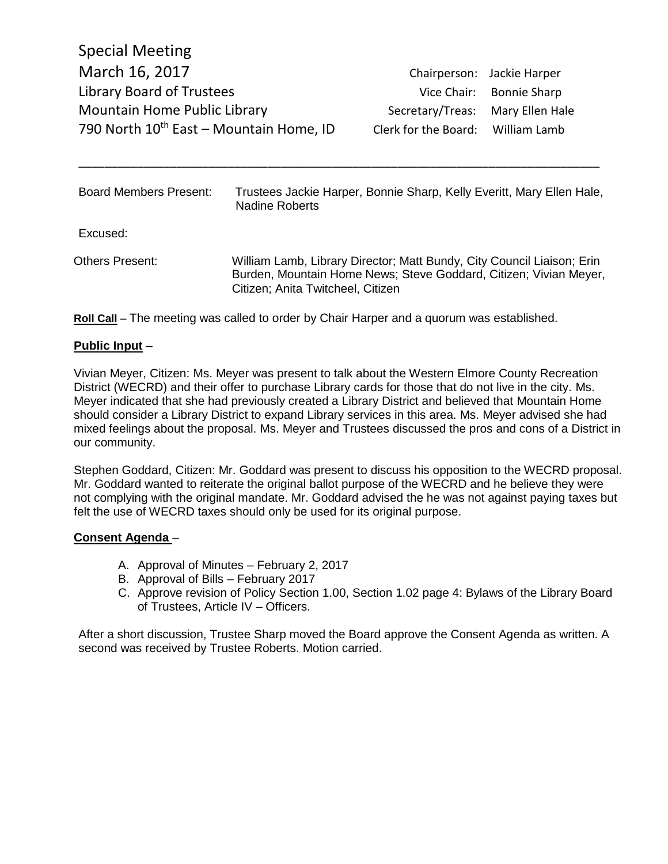|                                   | Chairperson: Jackie Harper |
|-----------------------------------|----------------------------|
|                                   | Vice Chair: Bonnie Sharp   |
| Secretary/Treas: Mary Ellen Hale  |                            |
| Clerk for the Board: William Lamb |                            |
|                                   |                            |

| Board Members Present: | Trustees Jackie Harper, Bonnie Sharp, Kelly Everitt, Mary Ellen Hale,<br><b>Nadine Roberts</b>                                                                                   |
|------------------------|----------------------------------------------------------------------------------------------------------------------------------------------------------------------------------|
| Excused:               |                                                                                                                                                                                  |
| Others Present:        | William Lamb, Library Director; Matt Bundy, City Council Liaison; Erin<br>Burden, Mountain Home News; Steve Goddard, Citizen; Vivian Meyer,<br>Citizen; Anita Twitcheel, Citizen |

\_\_\_\_\_\_\_\_\_\_\_\_\_\_\_\_\_\_\_\_\_\_\_\_\_\_\_\_\_\_\_\_\_\_\_\_\_\_\_\_\_\_\_\_\_\_\_\_\_\_\_\_\_\_\_\_\_\_\_\_\_\_\_\_\_\_\_\_\_\_\_\_\_\_\_\_\_\_\_\_

**Roll Call** – The meeting was called to order by Chair Harper and a quorum was established.

### **Public Input** –

Vivian Meyer, Citizen: Ms. Meyer was present to talk about the Western Elmore County Recreation District (WECRD) and their offer to purchase Library cards for those that do not live in the city. Ms. Meyer indicated that she had previously created a Library District and believed that Mountain Home should consider a Library District to expand Library services in this area. Ms. Meyer advised she had mixed feelings about the proposal. Ms. Meyer and Trustees discussed the pros and cons of a District in our community.

Stephen Goddard, Citizen: Mr. Goddard was present to discuss his opposition to the WECRD proposal. Mr. Goddard wanted to reiterate the original ballot purpose of the WECRD and he believe they were not complying with the original mandate. Mr. Goddard advised the he was not against paying taxes but felt the use of WECRD taxes should only be used for its original purpose.

#### **Consent Agenda** –

- A. Approval of Minutes February 2, 2017
- B. Approval of Bills February 2017
- C. Approve revision of Policy Section 1.00, Section 1.02 page 4: Bylaws of the Library Board of Trustees, Article IV – Officers.

After a short discussion, Trustee Sharp moved the Board approve the Consent Agenda as written. A second was received by Trustee Roberts. Motion carried.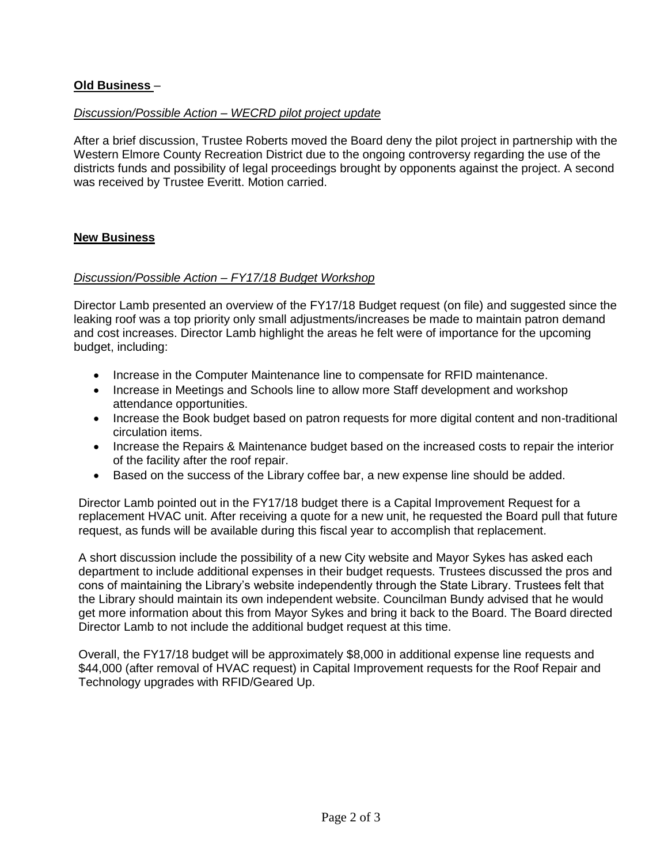# **Old Business** –

### *Discussion/Possible Action – WECRD pilot project update*

After a brief discussion, Trustee Roberts moved the Board deny the pilot project in partnership with the Western Elmore County Recreation District due to the ongoing controversy regarding the use of the districts funds and possibility of legal proceedings brought by opponents against the project. A second was received by Trustee Everitt. Motion carried.

### **New Business**

### *Discussion/Possible Action – FY17/18 Budget Workshop*

Director Lamb presented an overview of the FY17/18 Budget request (on file) and suggested since the leaking roof was a top priority only small adjustments/increases be made to maintain patron demand and cost increases. Director Lamb highlight the areas he felt were of importance for the upcoming budget, including:

- Increase in the Computer Maintenance line to compensate for RFID maintenance.
- Increase in Meetings and Schools line to allow more Staff development and workshop attendance opportunities.
- Increase the Book budget based on patron requests for more digital content and non-traditional circulation items.
- Increase the Repairs & Maintenance budget based on the increased costs to repair the interior of the facility after the roof repair.
- Based on the success of the Library coffee bar, a new expense line should be added.

Director Lamb pointed out in the FY17/18 budget there is a Capital Improvement Request for a replacement HVAC unit. After receiving a quote for a new unit, he requested the Board pull that future request, as funds will be available during this fiscal year to accomplish that replacement.

A short discussion include the possibility of a new City website and Mayor Sykes has asked each department to include additional expenses in their budget requests. Trustees discussed the pros and cons of maintaining the Library's website independently through the State Library. Trustees felt that the Library should maintain its own independent website. Councilman Bundy advised that he would get more information about this from Mayor Sykes and bring it back to the Board. The Board directed Director Lamb to not include the additional budget request at this time.

Overall, the FY17/18 budget will be approximately \$8,000 in additional expense line requests and \$44,000 (after removal of HVAC request) in Capital Improvement requests for the Roof Repair and Technology upgrades with RFID/Geared Up.